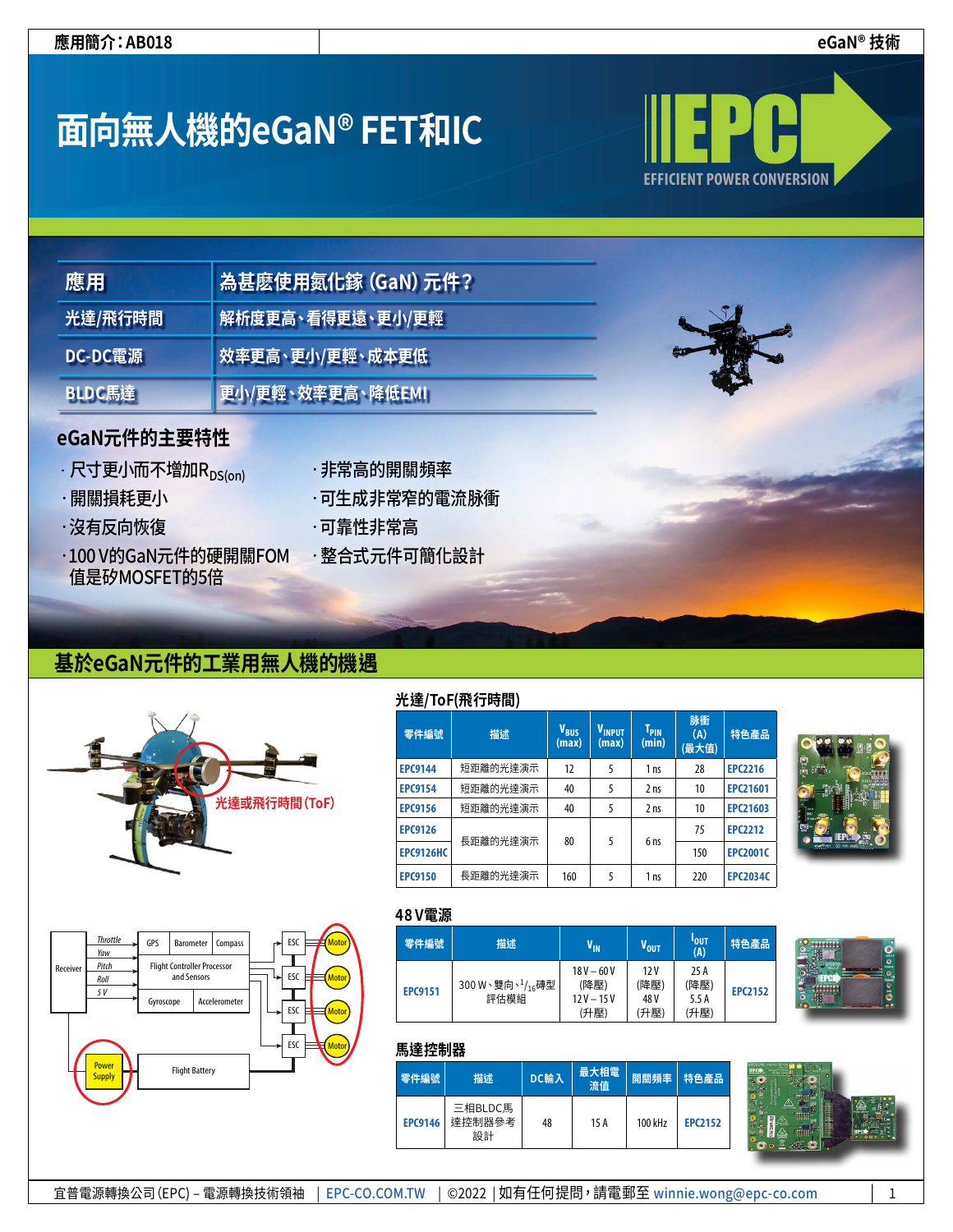# **面向無人機的eGaN® FET和IC**



| 應用               | 為甚麼使用氮化鎵 (GaN) 元件? |
|------------------|--------------------|
| <b> 光達/飛行時間 </b> | 解析度更高、看得更遠、更小/更輕   |
| DC-DC電源          | 效率更高、更小/更輕、成本更低    |
| BLDC馬達           | 更小/更輕、效率更高、降低EMI   |

# **eGaN元件的主要特性**

- · 尺寸更小而不增加R<sub>DS(on)</sub>
- •開關損耗更小
- •沒有反向恢復
- •100 V的GaN元件的硬開關FOM 值是矽MOSFET的5倍
- •非常高的開關頻率
- •可生成非常窄的電流脉衝
- •可靠性非常高
- •整合式元件可簡化設計

# **基於eGaN元件的工業用無人機的機遇**





## **光達/ToF(飛行時間)**

| 零件編號             | 描述       | V <sub>BUS</sub><br>(max) | V <sub>INPUT</sub><br>(max) | $\mathbf{I}_{\mathsf{PIN}}$<br>(min) | 脉衝<br>(A)<br>(最大值) | 特色產品            |
|------------------|----------|---------------------------|-----------------------------|--------------------------------------|--------------------|-----------------|
| <b>EPC9144</b>   | 短距離的光達演示 | 12                        | 5                           | 1 <sub>ns</sub>                      | 28                 | <b>EPC2216</b>  |
| <b>EPC9154</b>   | 短距離的光達演示 | 40                        | 5                           | 2 <sub>ns</sub>                      | 10                 | <b>EPC21601</b> |
| <b>EPC9156</b>   | 短距離的光達演示 | 40                        | 5                           | 2 <sub>ns</sub>                      | 10                 | <b>EPC21603</b> |
| <b>EPC9126</b>   | 長距離的光達演示 | 80                        | 5                           |                                      | 75                 | <b>EPC2212</b>  |
| <b>EPC9126HC</b> |          |                           |                             | 6 <sub>ns</sub>                      | 150                | <b>EPC2001C</b> |
| <b>EPC9150</b>   | 長距離的光達演示 | 160                       | 5                           | 1 <sub>ns</sub>                      | 220                | <b>EPC2034C</b> |



#### **48 V電源**

| 零件編號           | 描述                     | $V_{IN}$                                   | V <sub>out</sub>            | 'out<br>(A)                 | 特色產品           |
|----------------|------------------------|--------------------------------------------|-----------------------------|-----------------------------|----------------|
| <b>EPC9151</b> | 300W、雙向、1/16磚型<br>評估模組 | $18V - 60V$<br>(降壓)<br>$12V - 15V$<br>(升壓) | 12V<br>(降壓)<br>48 V<br>(升壓) | 25A<br>(降壓)<br>5.5A<br>(升壓) | <b>EPC2152</b> |

## **馬達控制器**

| 零件編號           | 描述                      | DC輸入 | 最大相電<br>流值 | 開關頻率    | 特色產品           |
|----------------|-------------------------|------|------------|---------|----------------|
| <b>EPC9146</b> | 三相BLDC馬<br>達控制器參考<br>設計 | 48   | 15 A       | 100 kHz | <b>EPC2152</b> |